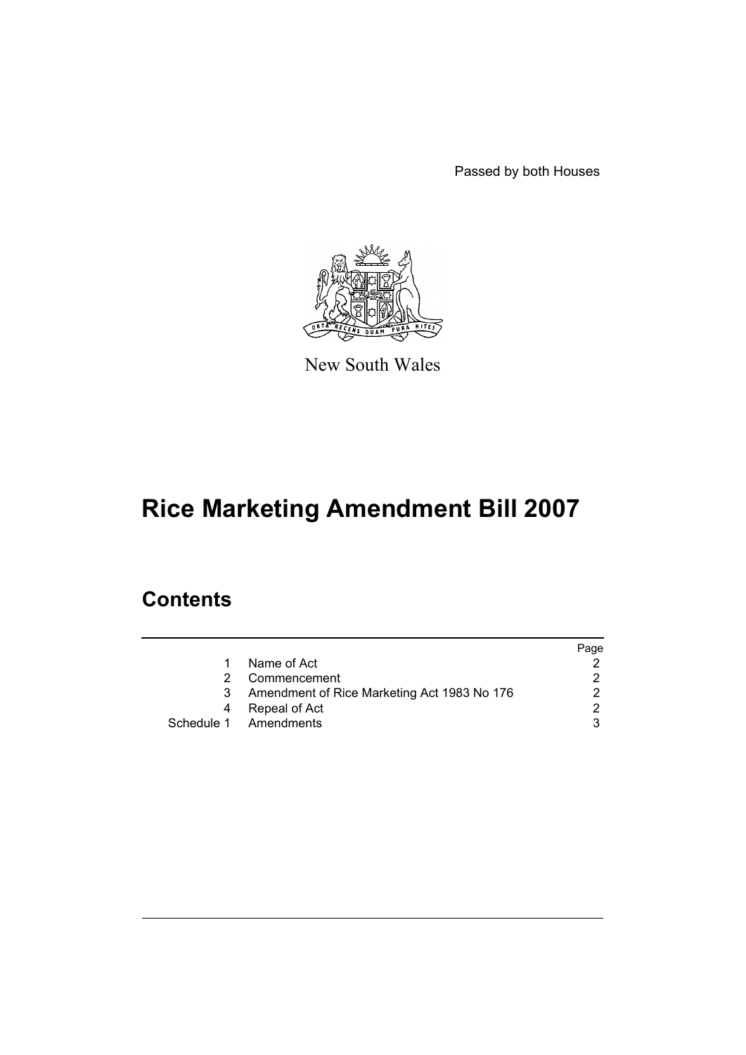Passed by both Houses



New South Wales

# **Rice Marketing Amendment Bill 2007**

## **Contents**

|   |                                             | Page |
|---|---------------------------------------------|------|
| 1 | Name of Act                                 |      |
|   | Commencement                                |      |
| 3 | Amendment of Rice Marketing Act 1983 No 176 |      |
| 4 | Repeal of Act                               | າ    |
|   | Schedule 1 Amendments                       |      |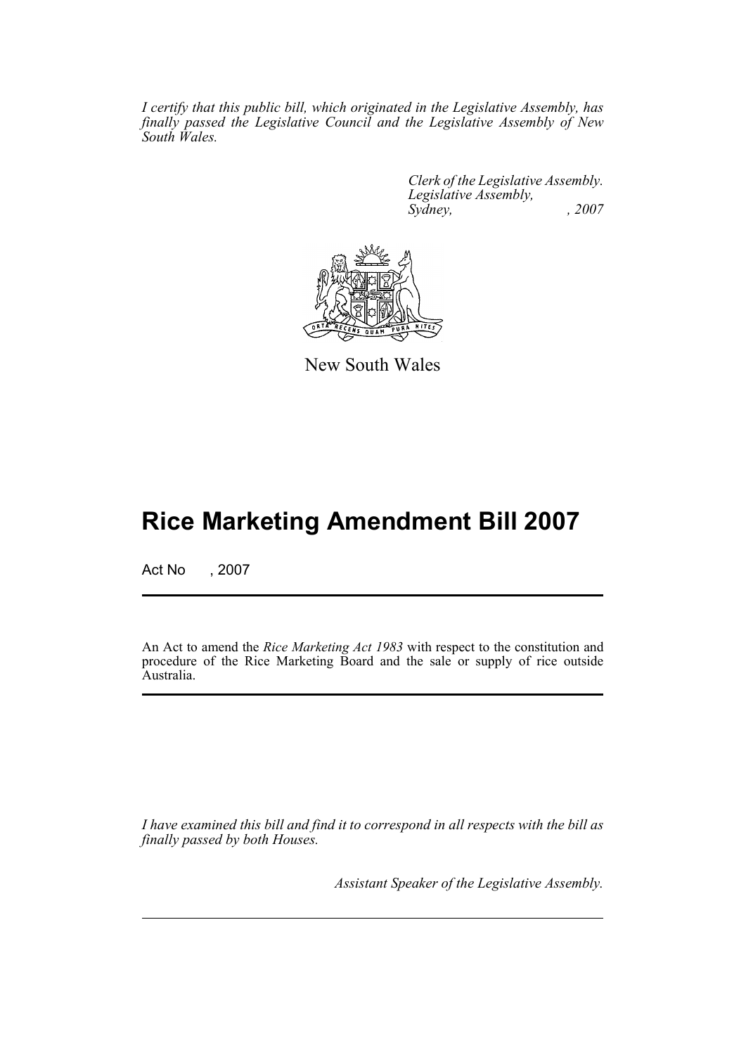*I certify that this public bill, which originated in the Legislative Assembly, has finally passed the Legislative Council and the Legislative Assembly of New South Wales.*

> *Clerk of the Legislative Assembly. Legislative Assembly, Sydney, , 2007*



New South Wales

## **Rice Marketing Amendment Bill 2007**

Act No , 2007

An Act to amend the *Rice Marketing Act 1983* with respect to the constitution and procedure of the Rice Marketing Board and the sale or supply of rice outside Australia.

*I have examined this bill and find it to correspond in all respects with the bill as finally passed by both Houses.*

*Assistant Speaker of the Legislative Assembly.*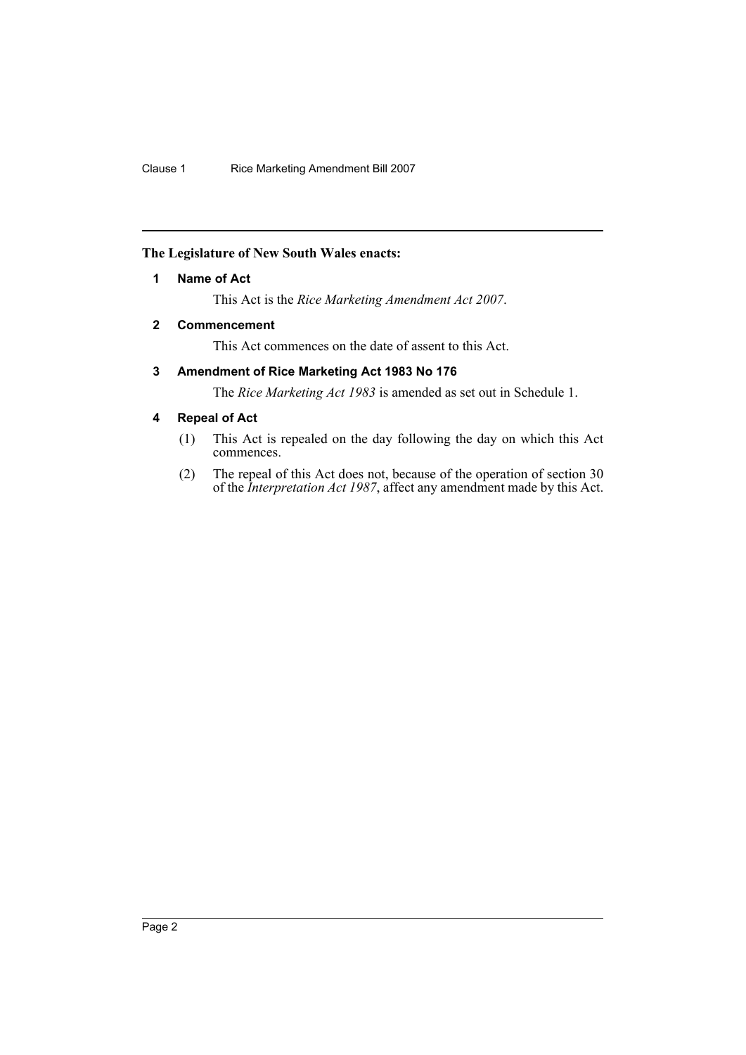#### <span id="page-2-0"></span>**The Legislature of New South Wales enacts:**

#### **1 Name of Act**

This Act is the *Rice Marketing Amendment Act 2007*.

### <span id="page-2-1"></span>**2 Commencement**

This Act commences on the date of assent to this Act.

#### <span id="page-2-2"></span>**3 Amendment of Rice Marketing Act 1983 No 176**

The *Rice Marketing Act 1983* is amended as set out in Schedule 1.

#### <span id="page-2-3"></span>**4 Repeal of Act**

- (1) This Act is repealed on the day following the day on which this Act commences.
- (2) The repeal of this Act does not, because of the operation of section 30 of the *Interpretation Act 1987*, affect any amendment made by this Act.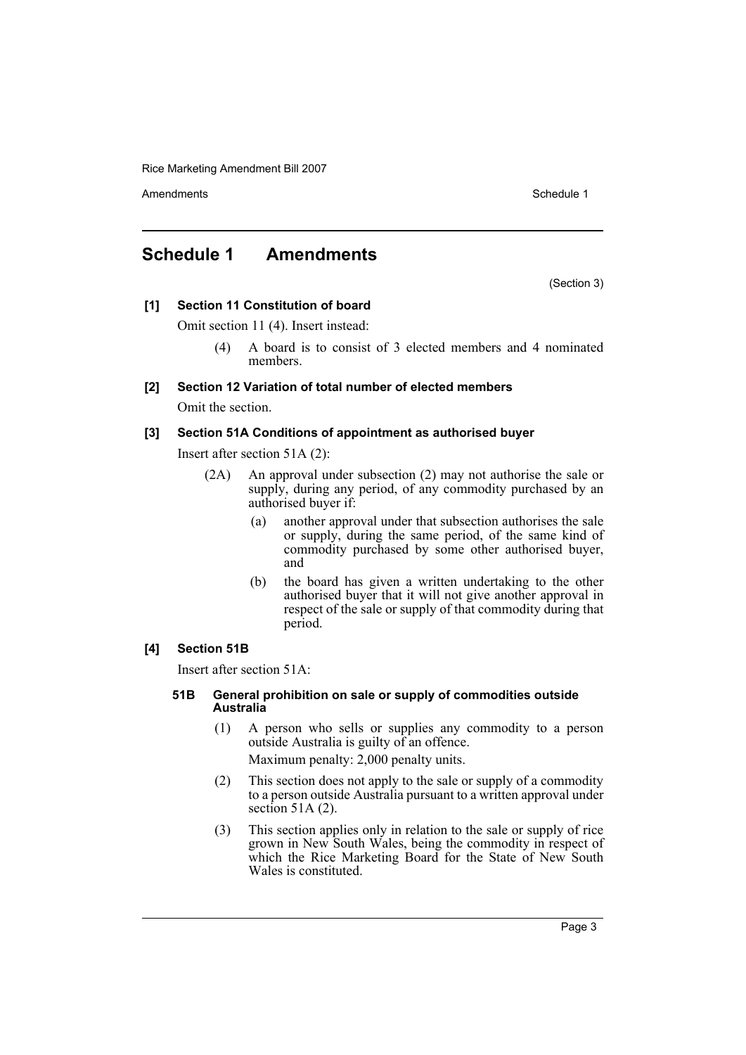Rice Marketing Amendment Bill 2007

Amendments **Amendments** Schedule 1

## <span id="page-3-0"></span>**Schedule 1 Amendments**

(Section 3)

#### **[1] Section 11 Constitution of board**

Omit section 11 (4). Insert instead:

(4) A board is to consist of 3 elected members and 4 nominated members.

#### **[2] Section 12 Variation of total number of elected members**

Omit the section.

#### **[3] Section 51A Conditions of appointment as authorised buyer**

Insert after section 51A (2):

- (2A) An approval under subsection (2) may not authorise the sale or supply, during any period, of any commodity purchased by an authorised buyer if:
	- (a) another approval under that subsection authorises the sale or supply, during the same period, of the same kind of commodity purchased by some other authorised buyer, and
	- (b) the board has given a written undertaking to the other authorised buyer that it will not give another approval in respect of the sale or supply of that commodity during that period.

#### **[4] Section 51B**

Insert after section 51A:

#### **51B General prohibition on sale or supply of commodities outside Australia**

- (1) A person who sells or supplies any commodity to a person outside Australia is guilty of an offence. Maximum penalty: 2,000 penalty units.
- (2) This section does not apply to the sale or supply of a commodity to a person outside Australia pursuant to a written approval under section 51A $(2)$ .
- (3) This section applies only in relation to the sale or supply of rice grown in New South Wales, being the commodity in respect of which the Rice Marketing Board for the State of New South Wales is constituted.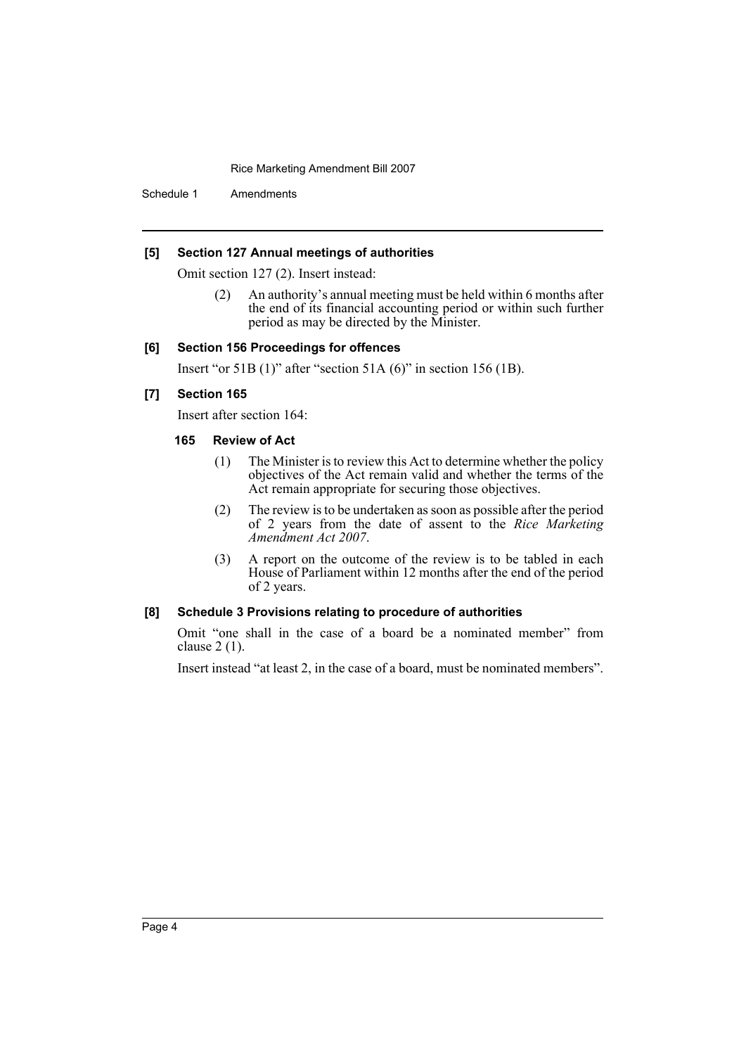Rice Marketing Amendment Bill 2007

Schedule 1 Amendments

#### **[5] Section 127 Annual meetings of authorities**

Omit section 127 (2). Insert instead:

(2) An authority's annual meeting must be held within 6 months after the end of its financial accounting period or within such further period as may be directed by the Minister.

#### **[6] Section 156 Proceedings for offences**

Insert "or 51B (1)" after "section 51A (6)" in section 156 (1B).

#### **[7] Section 165**

Insert after section 164:

#### **165 Review of Act**

- (1) The Minister is to review this Act to determine whether the policy objectives of the Act remain valid and whether the terms of the Act remain appropriate for securing those objectives.
- (2) The review is to be undertaken as soon as possible after the period of 2 years from the date of assent to the *Rice Marketing Amendment Act 2007*.
- (3) A report on the outcome of the review is to be tabled in each House of Parliament within 12 months after the end of the period of 2 years.

#### **[8] Schedule 3 Provisions relating to procedure of authorities**

Omit "one shall in the case of a board be a nominated member" from clause 2 (1).

Insert instead "at least 2, in the case of a board, must be nominated members".